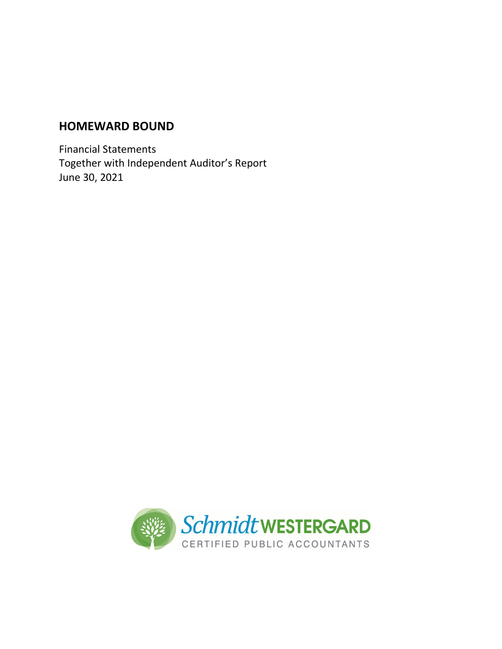Financial Statements Together with Independent Auditor's Report June 30, 2021

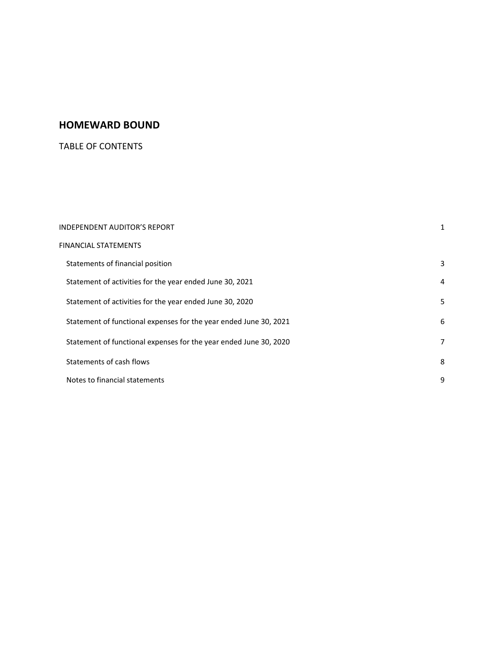# TABLE OF CONTENTS

| <b>INDEPENDENT AUDITOR'S REPORT</b>                               |   |
|-------------------------------------------------------------------|---|
| FINANCIAL STATEMENTS                                              |   |
| Statements of financial position                                  | 3 |
| Statement of activities for the year ended June 30, 2021          | 4 |
| Statement of activities for the year ended June 30, 2020          | 5 |
| Statement of functional expenses for the year ended June 30, 2021 | 6 |
| Statement of functional expenses for the year ended June 30, 2020 | 7 |
| Statements of cash flows                                          | 8 |
| Notes to financial statements                                     | 9 |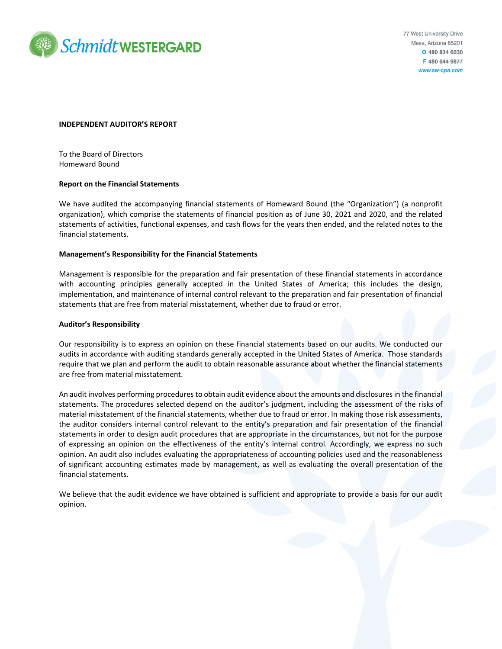

#### **INDEPENDENT AUDITOR'S REPORT**

To the Board of Directors Homeward Bound

#### **Report on the Financial Statements**

We have audited the accompanying financial statements of Homeward Bound (the "Organization") (a nonprofit organization), which comprise the statements of financial position as of June 30, 2021 and 2020, and the related statements of activities, functional expenses, and cash flows for the years then ended, and the related notes to the financial statements.

#### **Management's Responsibility for the Financial Statements**

Management is responsible for the preparation and fair presentation of these financial statements in accordance with accounting principles generally accepted in the United States of America; this includes the design, implementation, and maintenance of internal control relevant to the preparation and fair presentation of financial statements that are free from material misstatement, whether due to fraud or error.

#### **Auditor's Responsibility**

Our responsibility is to express an opinion on these financial statements based on our audits. We conducted our audits in accordance with auditing standards generally accepted in the United States of America. Those standards require that we plan and perform the audit to obtain reasonable assurance about whether the financial statements are free from material misstatement.

An audit involves performing procedures to obtain audit evidence about the amounts and disclosures in the financial statements. The procedures selected depend on the auditor's judgment, including the assessment of the risks of material misstatement of the financial statements, whether due to fraud or error. In making those risk assessments, the auditor considers internal control relevant to the entity's preparation and fair presentation of the financial statements in order to design audit procedures that are appropriate in the circumstances, but not for the purpose of expressing an opinion on the effectiveness of the entity's internal control. Accordingly, we express no such opinion. An audit also includes evaluating the appropriateness of accounting policies used and the reasonableness of significant accounting estimates made by management, as well as evaluating the overall presentation of the financial statements.

We believe that the audit evidence we have obtained is sufficient and appropriate to provide a basis for our audit opinion.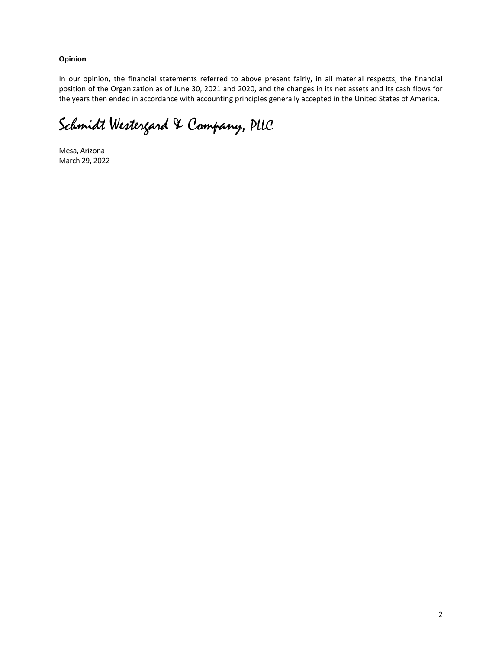**Opinion**

In our opinion, the financial statements referred to above present fairly, in all material respects, the financial position of the Organization as of June 30, 2021 and 2020, and the changes in its net assets and its cash flows for the years then ended in accordance with accounting principles generally accepted in the United States of America.

Schmidt Westergard & Company, PLLC

Mesa, Arizona March 29, 2022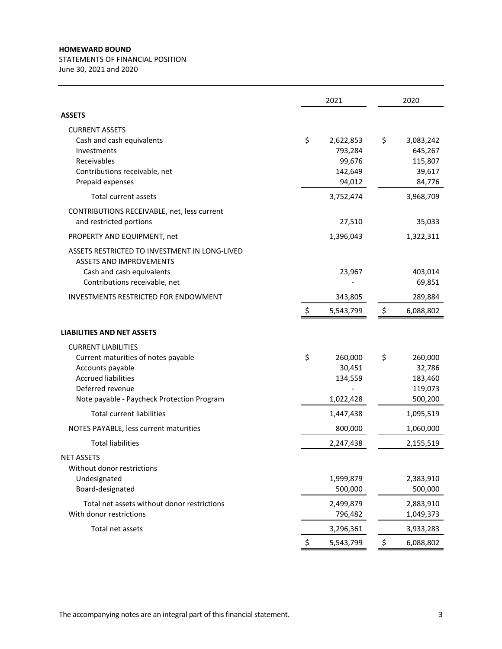STATEMENTS OF FINANCIAL POSITION June 30, 2021 and 2020

|                                                                                                                                                                                                                            | 2021 |                                                     | 2020                                                      |
|----------------------------------------------------------------------------------------------------------------------------------------------------------------------------------------------------------------------------|------|-----------------------------------------------------|-----------------------------------------------------------|
| <b>ASSETS</b>                                                                                                                                                                                                              |      |                                                     |                                                           |
| <b>CURRENT ASSETS</b><br>Cash and cash equivalents<br>Investments<br>Receivables<br>Contributions receivable, net<br>Prepaid expenses                                                                                      | \$   | 2,622,853<br>793,284<br>99,676<br>142,649<br>94,012 | \$<br>3,083,242<br>645,267<br>115,807<br>39,617<br>84,776 |
| Total current assets                                                                                                                                                                                                       |      | 3,752,474                                           | 3,968,709                                                 |
| CONTRIBUTIONS RECEIVABLE, net, less current<br>and restricted portions<br>PROPERTY AND EQUIPMENT, net                                                                                                                      |      | 27,510<br>1,396,043                                 | 35,033<br>1,322,311                                       |
| ASSETS RESTRICTED TO INVESTMENT IN LONG-LIVED<br><b>ASSETS AND IMPROVEMENTS</b><br>Cash and cash equivalents<br>Contributions receivable, net                                                                              |      | 23,967                                              | 403,014<br>69,851                                         |
| INVESTMENTS RESTRICTED FOR ENDOWMENT                                                                                                                                                                                       | \$   | 343,805<br>5,543,799                                | \$<br>289,884<br>6,088,802                                |
| <b>LIABILITIES AND NET ASSETS</b><br><b>CURRENT LIABILITIES</b><br>Current maturities of notes payable<br>Accounts payable<br><b>Accrued liabilities</b><br>Deferred revenue<br>Note payable - Paycheck Protection Program | \$   | 260,000<br>30,451<br>134,559<br>1,022,428           | \$<br>260,000<br>32,786<br>183,460<br>119,073<br>500,200  |
| <b>Total current liabilities</b>                                                                                                                                                                                           |      | 1,447,438                                           | 1,095,519                                                 |
| NOTES PAYABLE, less current maturities                                                                                                                                                                                     |      | 800,000                                             | 1,060,000                                                 |
| <b>Total liabilities</b>                                                                                                                                                                                                   |      | 2,247,438                                           | 2,155,519                                                 |
| <b>NET ASSETS</b><br>Without donor restrictions<br>Undesignated<br>Board-designated                                                                                                                                        |      | 1,999,879<br>500,000                                | 2,383,910<br>500,000                                      |
| Total net assets without donor restrictions<br>With donor restrictions                                                                                                                                                     |      | 2,499,879<br>796,482                                | 2,883,910<br>1,049,373                                    |
| Total net assets                                                                                                                                                                                                           |      | 3,296,361                                           | 3,933,283                                                 |
|                                                                                                                                                                                                                            | \$   | 5,543,799                                           | \$<br>6,088,802                                           |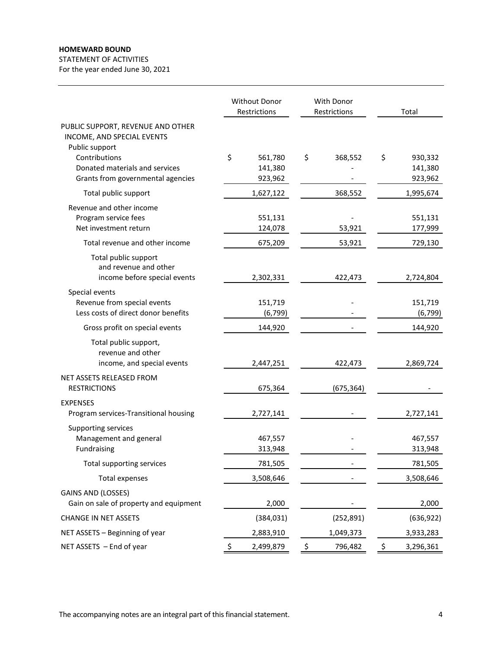STATEMENT OF ACTIVITIES

For the year ended June 30, 2021

|                                                                                      | Without Donor<br>Restrictions |                               | <b>With Donor</b><br>Restrictions |            | Total                               |
|--------------------------------------------------------------------------------------|-------------------------------|-------------------------------|-----------------------------------|------------|-------------------------------------|
| PUBLIC SUPPORT, REVENUE AND OTHER<br>INCOME, AND SPECIAL EVENTS<br>Public support    |                               |                               |                                   |            |                                     |
| Contributions<br>Donated materials and services<br>Grants from governmental agencies | \$                            | 561,780<br>141,380<br>923,962 | \$                                | 368,552    | \$<br>930,332<br>141,380<br>923,962 |
| Total public support                                                                 |                               | 1,627,122                     |                                   | 368,552    | 1,995,674                           |
| Revenue and other income<br>Program service fees<br>Net investment return            |                               | 551,131<br>124,078            |                                   | 53,921     | 551,131<br>177,999                  |
| Total revenue and other income                                                       |                               | 675,209                       |                                   | 53,921     | 729,130                             |
| Total public support<br>and revenue and other<br>income before special events        |                               | 2,302,331                     |                                   | 422,473    | 2,724,804                           |
| Special events<br>Revenue from special events<br>Less costs of direct donor benefits |                               | 151,719<br>(6, 799)           |                                   |            | 151,719<br>(6, 799)                 |
| Gross profit on special events                                                       |                               | 144,920                       |                                   |            | 144,920                             |
| Total public support,<br>revenue and other<br>income, and special events             |                               | 2,447,251                     |                                   | 422,473    | 2,869,724                           |
| <b>NET ASSETS RELEASED FROM</b><br><b>RESTRICTIONS</b>                               |                               | 675,364                       |                                   | (675, 364) |                                     |
| <b>EXPENSES</b><br>Program services-Transitional housing                             |                               | 2,727,141                     |                                   |            | 2,727,141                           |
| Supporting services<br>Management and general<br>Fundraising                         |                               | 467,557<br>313,948            |                                   |            | 467,557<br>313,948                  |
| Total supporting services                                                            |                               | 781,505                       |                                   |            | 781,505                             |
| <b>Total expenses</b>                                                                |                               | 3,508,646                     |                                   |            | 3,508,646                           |
| <b>GAINS AND (LOSSES)</b><br>Gain on sale of property and equipment                  |                               | 2,000                         |                                   |            | 2,000                               |
| <b>CHANGE IN NET ASSETS</b>                                                          |                               | (384, 031)                    |                                   | (252, 891) | (636, 922)                          |
| NET ASSETS - Beginning of year                                                       |                               | 2,883,910                     |                                   | 1,049,373  | 3,933,283                           |
| NET ASSETS - End of year                                                             | \$                            | 2,499,879                     | \$                                | 796,482    | \$<br>3,296,361                     |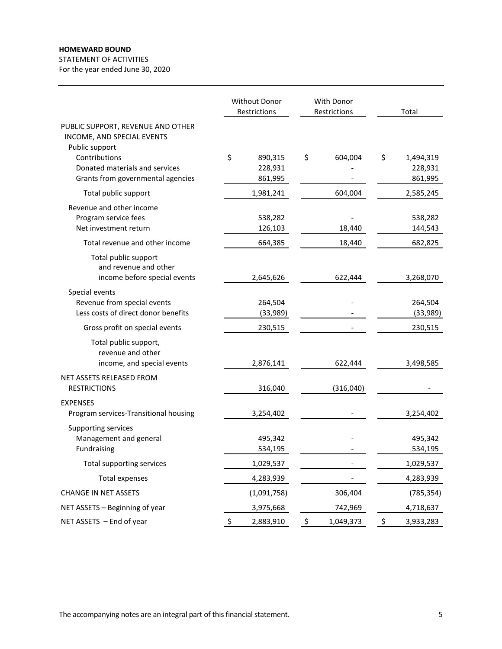STATEMENT OF ACTIVITIES For the year ended June 30, 2020

Without Donor With Donor Restrictions Restrictions Total PUBLIC SUPPORT, REVENUE AND OTHER INCOME, AND SPECIAL EVENTS Public support Contributions 890,315 \$ \$ 604,004 \$ 1,494,319 Donated materials and services 228,931 ‐ 228,931 Grants from governmental agencies 861,995 ‐ 861,995 Total public support 1,981,241 604,004 2,585,245 Revenue and other income Program service fees 538,282 ‐ 538,282 Net investment return 126,103 18,440 144,543 Total revenue and other income 664,385 18,440 682,825 Total public support and revenue and other income before special events 2,645,626 622,444 3,268,070 Special events Revenue from special events 264,504 ‐ 264,504 Less costs of direct donor benefits (33,989) ‐ (33,989) Gross profit on special events and the contract of the 230,515 contract of the 230,515 contract of the 230,515 Total public support, revenue and other income, and special events 2,876,141 622,444 3,498,585 NET ASSETS RELEASED FROM RESTRICTIONS 316,040 (316,040) EXPENSES Program services‐Transitional housing 3,254,402 ‐ 3,254,402 Supporting services Management and general 495,342 ‐ 495,342 Fundraising 534,195 ‐ 534,195 Total supporting services 1,029,537 ‐ 1,029,537 Total expenses 4,283,939 ‐ 4,283,939 CHANGE IN NET ASSETS (1,091,758) 306,404 (785,354) NET ASSETS – Beginning of year 3,975,668 742,969 4,718,637 NET ASSETS – End of year 2008 CHO ASSETS – End of year 2008 CHO ASSETS – End of year 2008 CHO ASSETS 2,883,910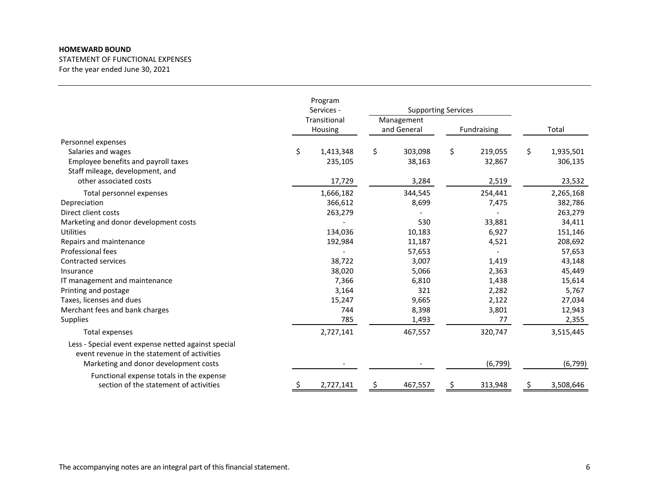STATEMENT OF FUNCTIONAL EXPENSES For the year ended June 30, 2021

|                                                                                                                                              | Program<br>Services -<br>Transitional<br>Housing |           | <b>Supporting Services</b> |         |             |          |                 |
|----------------------------------------------------------------------------------------------------------------------------------------------|--------------------------------------------------|-----------|----------------------------|---------|-------------|----------|-----------------|
|                                                                                                                                              |                                                  |           | Management<br>and General  |         | Fundraising |          | Total           |
| Personnel expenses                                                                                                                           |                                                  |           |                            |         |             |          |                 |
| Salaries and wages                                                                                                                           | \$                                               | 1,413,348 | \$                         | 303,098 | \$          | 219,055  | \$<br>1,935,501 |
| Employee benefits and payroll taxes                                                                                                          |                                                  | 235,105   |                            | 38,163  |             | 32,867   | 306,135         |
| Staff mileage, development, and                                                                                                              |                                                  |           |                            |         |             |          |                 |
| other associated costs                                                                                                                       |                                                  | 17,729    |                            | 3,284   |             | 2,519    | 23,532          |
| Total personnel expenses                                                                                                                     |                                                  | 1,666,182 |                            | 344,545 |             | 254,441  | 2,265,168       |
| Depreciation                                                                                                                                 |                                                  | 366,612   |                            | 8,699   |             | 7,475    | 382,786         |
| Direct client costs                                                                                                                          |                                                  | 263,279   |                            |         |             |          | 263,279         |
| Marketing and donor development costs                                                                                                        |                                                  |           |                            | 530     |             | 33,881   | 34,411          |
| <b>Utilities</b>                                                                                                                             |                                                  | 134,036   |                            | 10,183  |             | 6,927    | 151,146         |
| Repairs and maintenance                                                                                                                      |                                                  | 192,984   |                            | 11,187  |             | 4,521    | 208,692         |
| Professional fees                                                                                                                            |                                                  |           |                            | 57,653  |             |          | 57,653          |
| <b>Contracted services</b>                                                                                                                   |                                                  | 38,722    |                            | 3,007   |             | 1,419    | 43,148          |
| Insurance                                                                                                                                    |                                                  | 38,020    |                            | 5,066   |             | 2,363    | 45,449          |
| IT management and maintenance                                                                                                                |                                                  | 7,366     |                            | 6,810   |             | 1,438    | 15,614          |
| Printing and postage                                                                                                                         |                                                  | 3,164     |                            | 321     |             | 2,282    | 5,767           |
| Taxes, licenses and dues                                                                                                                     |                                                  | 15,247    |                            | 9,665   |             | 2,122    | 27,034          |
| Merchant fees and bank charges                                                                                                               |                                                  | 744       |                            | 8,398   |             | 3,801    | 12,943          |
| <b>Supplies</b>                                                                                                                              |                                                  | 785       |                            | 1,493   |             | 77       | 2,355           |
| Total expenses                                                                                                                               |                                                  | 2,727,141 |                            | 467,557 |             | 320,747  | 3,515,445       |
| Less - Special event expense netted against special<br>event revenue in the statement of activities<br>Marketing and donor development costs |                                                  |           |                            |         |             | (6, 799) | (6, 799)        |
|                                                                                                                                              |                                                  |           |                            |         |             |          |                 |
| Functional expense totals in the expense<br>section of the statement of activities                                                           | \$,                                              | 2,727,141 | \$                         | 467,557 | \$          | 313,948  | \$<br>3,508,646 |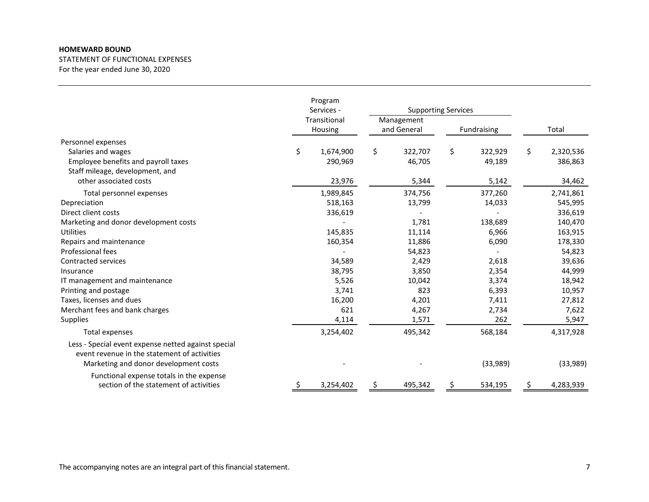STATEMENT OF FUNCTIONAL EXPENSES For the year ended June 30, 2020

|                                                                                                                                              | Program<br>Services -<br>Transitional<br>Housing |           | <b>Supporting Services</b> |         |             |          |                 |
|----------------------------------------------------------------------------------------------------------------------------------------------|--------------------------------------------------|-----------|----------------------------|---------|-------------|----------|-----------------|
|                                                                                                                                              |                                                  |           | Management<br>and General  |         | Fundraising |          | Total           |
| Personnel expenses                                                                                                                           |                                                  |           |                            |         |             |          |                 |
| Salaries and wages                                                                                                                           | \$                                               | 1,674,900 | \$                         | 322,707 | \$          | 322,929  | \$<br>2,320,536 |
| Employee benefits and payroll taxes                                                                                                          |                                                  | 290,969   |                            | 46,705  |             | 49,189   | 386,863         |
| Staff mileage, development, and                                                                                                              |                                                  |           |                            |         |             |          |                 |
| other associated costs                                                                                                                       |                                                  | 23,976    |                            | 5,344   |             | 5,142    | 34,462          |
| Total personnel expenses                                                                                                                     |                                                  | 1,989,845 |                            | 374,756 |             | 377,260  | 2,741,861       |
| Depreciation                                                                                                                                 |                                                  | 518,163   |                            | 13,799  |             | 14,033   | 545,995         |
| Direct client costs                                                                                                                          |                                                  | 336,619   |                            |         |             |          | 336,619         |
| Marketing and donor development costs                                                                                                        |                                                  |           |                            | 1,781   |             | 138,689  | 140,470         |
| <b>Utilities</b>                                                                                                                             |                                                  | 145,835   |                            | 11,114  |             | 6,966    | 163,915         |
| Repairs and maintenance                                                                                                                      |                                                  | 160,354   |                            | 11,886  |             | 6,090    | 178,330         |
| Professional fees                                                                                                                            |                                                  |           |                            | 54,823  |             |          | 54,823          |
| Contracted services                                                                                                                          |                                                  | 34,589    |                            | 2,429   |             | 2,618    | 39,636          |
| Insurance                                                                                                                                    |                                                  | 38,795    |                            | 3,850   |             | 2,354    | 44,999          |
| IT management and maintenance                                                                                                                |                                                  | 5,526     |                            | 10,042  |             | 3,374    | 18,942          |
| Printing and postage                                                                                                                         |                                                  | 3,741     |                            | 823     |             | 6,393    | 10,957          |
| Taxes, licenses and dues                                                                                                                     |                                                  | 16,200    |                            | 4,201   |             | 7,411    | 27,812          |
| Merchant fees and bank charges                                                                                                               |                                                  | 621       |                            | 4,267   |             | 2,734    | 7,622           |
| Supplies                                                                                                                                     |                                                  | 4,114     |                            | 1,571   |             | 262      | 5,947           |
| Total expenses                                                                                                                               |                                                  | 3,254,402 |                            | 495,342 |             | 568,184  | 4,317,928       |
| Less - Special event expense netted against special<br>event revenue in the statement of activities<br>Marketing and donor development costs |                                                  |           |                            |         |             | (33,989) | (33,989)        |
|                                                                                                                                              |                                                  |           |                            |         |             |          |                 |
| Functional expense totals in the expense<br>section of the statement of activities                                                           | Ş                                                | 3,254,402 | \$                         | 495,342 | \$          | 534,195  | \$<br>4,283,939 |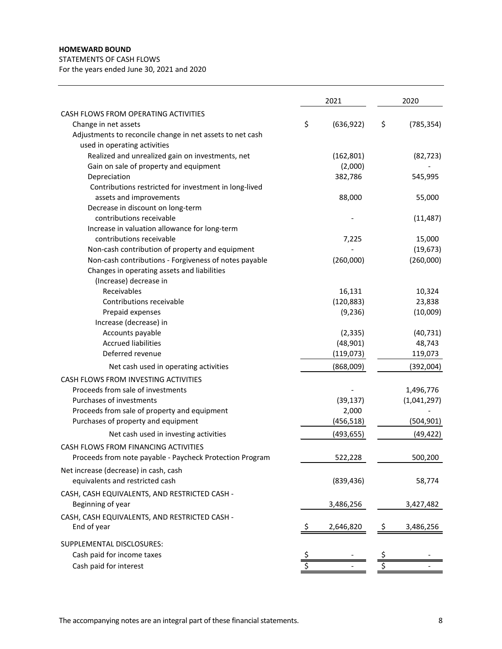STATEMENTS OF CASH FLOWS

For the years ended June 30, 2021 and 2020

|                                                           |    | 2021       |    | 2020        |
|-----------------------------------------------------------|----|------------|----|-------------|
| CASH FLOWS FROM OPERATING ACTIVITIES                      |    |            |    |             |
| Change in net assets                                      | \$ | (636, 922) | \$ | (785, 354)  |
| Adjustments to reconcile change in net assets to net cash |    |            |    |             |
| used in operating activities                              |    |            |    |             |
| Realized and unrealized gain on investments, net          |    | (162, 801) |    | (82, 723)   |
| Gain on sale of property and equipment                    |    | (2,000)    |    |             |
| Depreciation                                              |    | 382,786    |    | 545,995     |
| Contributions restricted for investment in long-lived     |    |            |    |             |
| assets and improvements                                   |    | 88,000     |    | 55,000      |
| Decrease in discount on long-term                         |    |            |    |             |
| contributions receivable                                  |    |            |    | (11, 487)   |
| Increase in valuation allowance for long-term             |    |            |    |             |
| contributions receivable                                  |    | 7,225      |    | 15,000      |
| Non-cash contribution of property and equipment           |    |            |    | (19, 673)   |
| Non-cash contributions - Forgiveness of notes payable     |    | (260,000)  |    | (260,000)   |
| Changes in operating assets and liabilities               |    |            |    |             |
| (Increase) decrease in                                    |    |            |    |             |
| Receivables                                               |    | 16,131     |    | 10,324      |
| Contributions receivable                                  |    | (120, 883) |    | 23,838      |
| Prepaid expenses                                          |    | (9, 236)   |    | (10,009)    |
| Increase (decrease) in                                    |    |            |    |             |
| Accounts payable                                          |    | (2, 335)   |    | (40, 731)   |
| <b>Accrued liabilities</b>                                |    | (48, 901)  |    | 48,743      |
| Deferred revenue                                          |    | (119,073)  |    | 119,073     |
| Net cash used in operating activities                     |    | (868,009)  |    | (392,004)   |
| CASH FLOWS FROM INVESTING ACTIVITIES                      |    |            |    |             |
| Proceeds from sale of investments                         |    |            |    | 1,496,776   |
| Purchases of investments                                  |    | (39, 137)  |    | (1,041,297) |
| Proceeds from sale of property and equipment              |    | 2,000      |    |             |
| Purchases of property and equipment                       |    | (456, 518) |    | (504,901)   |
| Net cash used in investing activities                     |    | (493, 655) |    | (49, 422)   |
| CASH FLOWS FROM FINANCING ACTIVITIES                      |    |            |    |             |
| Proceeds from note payable - Paycheck Protection Program  |    | 522.228    |    | 500.200     |
| Net increase (decrease) in cash, cash                     |    |            |    |             |
| equivalents and restricted cash                           |    | (839, 436) |    | 58,774      |
| CASH, CASH EQUIVALENTS, AND RESTRICTED CASH -             |    |            |    |             |
| Beginning of year                                         |    | 3,486,256  |    | 3,427,482   |
| CASH, CASH EQUIVALENTS, AND RESTRICTED CASH -             |    |            |    |             |
| End of year                                               | S  | 2,646,820  | -S | 3,486,256   |
| SUPPLEMENTAL DISCLOSURES:                                 |    |            |    |             |
| Cash paid for income taxes                                |    |            |    |             |
| Cash paid for interest                                    |    |            |    |             |
|                                                           |    |            |    |             |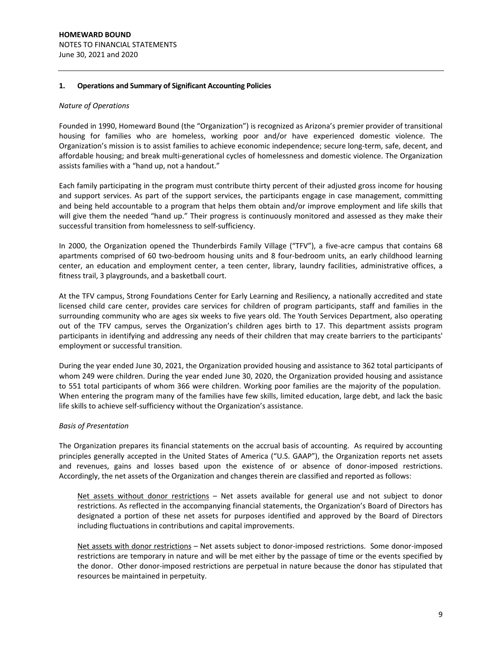## **1. Operations and Summary of Significant Accounting Policies**

#### *Nature of Operations*

Founded in 1990, Homeward Bound (the "Organization") is recognized as Arizona's premier provider of transitional housing for families who are homeless, working poor and/or have experienced domestic violence. The Organization's mission is to assist families to achieve economic independence; secure long‐term, safe, decent, and affordable housing; and break multi‐generational cycles of homelessness and domestic violence. The Organization assists families with a "hand up, not a handout."

Each family participating in the program must contribute thirty percent of their adjusted gross income for housing and support services. As part of the support services, the participants engage in case management, committing and being held accountable to a program that helps them obtain and/or improve employment and life skills that will give them the needed "hand up." Their progress is continuously monitored and assessed as they make their successful transition from homelessness to self‐sufficiency.

In 2000, the Organization opened the Thunderbirds Family Village ("TFV"), a five-acre campus that contains 68 apartments comprised of 60 two-bedroom housing units and 8 four-bedroom units, an early childhood learning center, an education and employment center, a teen center, library, laundry facilities, administrative offices, a fitness trail, 3 playgrounds, and a basketball court.

At the TFV campus, Strong Foundations Center for Early Learning and Resiliency, a nationally accredited and state licensed child care center, provides care services for children of program participants, staff and families in the surrounding community who are ages six weeks to five years old. The Youth Services Department, also operating out of the TFV campus, serves the Organization's children ages birth to 17. This department assists program participants in identifying and addressing any needs of their children that may create barriers to the participants' employment or successful transition.

During the year ended June 30, 2021, the Organization provided housing and assistance to 362 total participants of whom 249 were children. During the year ended June 30, 2020, the Organization provided housing and assistance to 551 total participants of whom 366 were children. Working poor families are the majority of the population. When entering the program many of the families have few skills, limited education, large debt, and lack the basic life skills to achieve self‐sufficiency without the Organization's assistance.

#### *Basis of Presentation*

The Organization prepares its financial statements on the accrual basis of accounting. As required by accounting principles generally accepted in the United States of America ("U.S. GAAP"), the Organization reports net assets and revenues, gains and losses based upon the existence of or absence of donor-imposed restrictions. Accordingly, the net assets of the Organization and changes therein are classified and reported as follows:

Net assets without donor restrictions – Net assets available for general use and not subject to donor restrictions. As reflected in the accompanying financial statements, the Organization's Board of Directors has designated a portion of these net assets for purposes identified and approved by the Board of Directors including fluctuations in contributions and capital improvements.

Net assets with donor restrictions – Net assets subject to donor-imposed restrictions. Some donor-imposed restrictions are temporary in nature and will be met either by the passage of time or the events specified by the donor. Other donor‐imposed restrictions are perpetual in nature because the donor has stipulated that resources be maintained in perpetuity.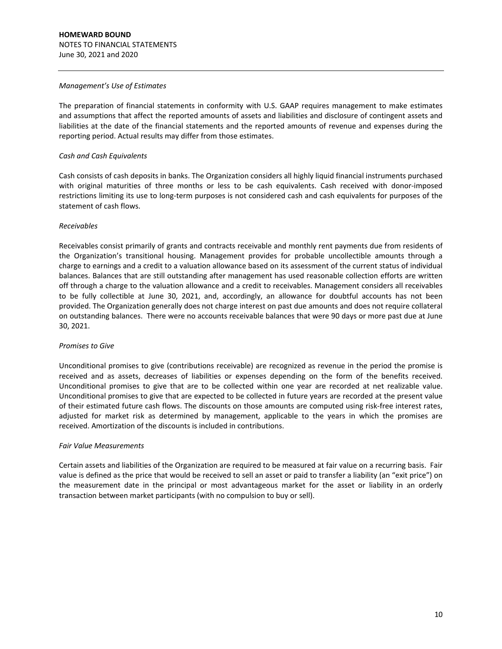#### *Management's Use of Estimates*

The preparation of financial statements in conformity with U.S. GAAP requires management to make estimates and assumptions that affect the reported amounts of assets and liabilities and disclosure of contingent assets and liabilities at the date of the financial statements and the reported amounts of revenue and expenses during the reporting period. Actual results may differ from those estimates.

## *Cash and Cash Equivalents*

Cash consists of cash deposits in banks. The Organization considers all highly liquid financial instruments purchased with original maturities of three months or less to be cash equivalents. Cash received with donor-imposed restrictions limiting its use to long‐term purposes is not considered cash and cash equivalents for purposes of the statement of cash flows.

## *Receivables*

Receivables consist primarily of grants and contracts receivable and monthly rent payments due from residents of the Organization's transitional housing. Management provides for probable uncollectible amounts through a charge to earnings and a credit to a valuation allowance based on its assessment of the current status of individual balances. Balances that are still outstanding after management has used reasonable collection efforts are written off through a charge to the valuation allowance and a credit to receivables. Management considers all receivables to be fully collectible at June 30, 2021, and, accordingly, an allowance for doubtful accounts has not been provided. The Organization generally does not charge interest on past due amounts and does not require collateral on outstanding balances. There were no accounts receivable balances that were 90 days or more past due at June 30, 2021.

#### *Promises to Give*

Unconditional promises to give (contributions receivable) are recognized as revenue in the period the promise is received and as assets, decreases of liabilities or expenses depending on the form of the benefits received. Unconditional promises to give that are to be collected within one year are recorded at net realizable value. Unconditional promises to give that are expected to be collected in future years are recorded at the present value of their estimated future cash flows. The discounts on those amounts are computed using risk‐free interest rates, adjusted for market risk as determined by management, applicable to the years in which the promises are received. Amortization of the discounts is included in contributions.

#### *Fair Value Measurements*

Certain assets and liabilities of the Organization are required to be measured at fair value on a recurring basis. Fair value is defined as the price that would be received to sell an asset or paid to transfer a liability (an "exit price") on the measurement date in the principal or most advantageous market for the asset or liability in an orderly transaction between market participants (with no compulsion to buy or sell).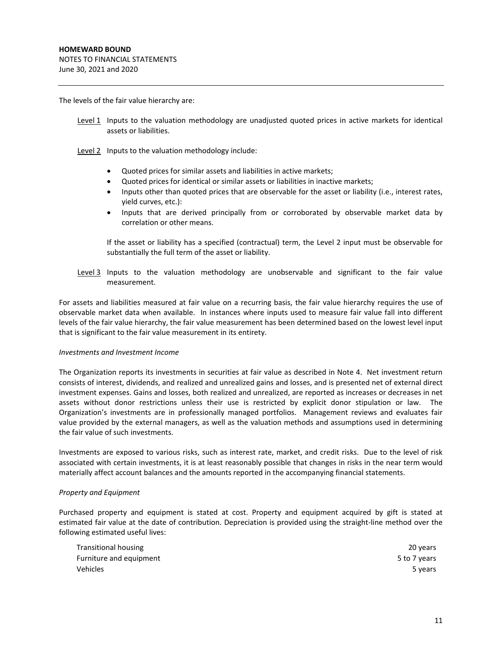The levels of the fair value hierarchy are:

- Level 1 Inputs to the valuation methodology are unadjusted quoted prices in active markets for identical assets or liabilities.
- Level 2 Inputs to the valuation methodology include:
	- Quoted prices for similar assets and liabilities in active markets;
	- Quoted prices for identical or similar assets or liabilities in inactive markets;
	- Inputs other than quoted prices that are observable for the asset or liability (i.e., interest rates, yield curves, etc.):
	- Inputs that are derived principally from or corroborated by observable market data by correlation or other means.

 If the asset or liability has a specified (contractual) term, the Level 2 input must be observable for substantially the full term of the asset or liability.

Level 3 Inputs to the valuation methodology are unobservable and significant to the fair value measurement.

For assets and liabilities measured at fair value on a recurring basis, the fair value hierarchy requires the use of observable market data when available. In instances where inputs used to measure fair value fall into different levels of the fair value hierarchy, the fair value measurement has been determined based on the lowest level input that is significant to the fair value measurement in its entirety.

#### *Investments and Investment Income*

The Organization reports its investments in securities at fair value as described in Note 4. Net investment return consists of interest, dividends, and realized and unrealized gains and losses, and is presented net of external direct investment expenses. Gains and losses, both realized and unrealized, are reported as increases or decreases in net assets without donor restrictions unless their use is restricted by explicit donor stipulation or law. The Organization's investments are in professionally managed portfolios. Management reviews and evaluates fair value provided by the external managers, as well as the valuation methods and assumptions used in determining the fair value of such investments.

Investments are exposed to various risks, such as interest rate, market, and credit risks. Due to the level of risk associated with certain investments, it is at least reasonably possible that changes in risks in the near term would materially affect account balances and the amounts reported in the accompanying financial statements.

#### *Property and Equipment*

Purchased property and equipment is stated at cost. Property and equipment acquired by gift is stated at estimated fair value at the date of contribution. Depreciation is provided using the straight‐line method over the following estimated useful lives:

| Transitional housing    | 20 years     |
|-------------------------|--------------|
| Furniture and equipment | 5 to 7 years |
| Vehicles                | 5 years      |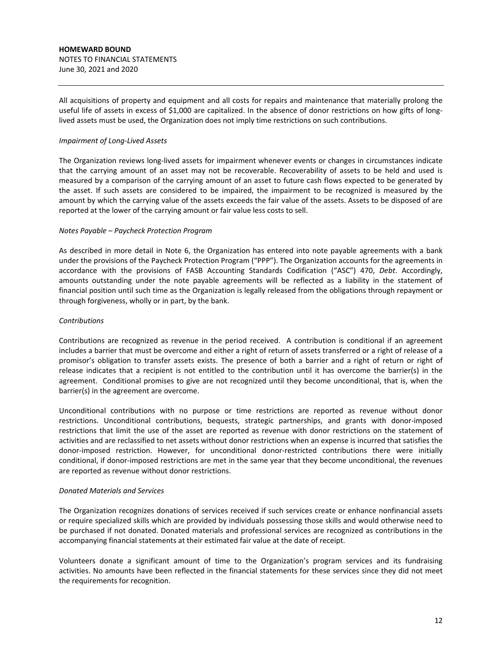All acquisitions of property and equipment and all costs for repairs and maintenance that materially prolong the useful life of assets in excess of \$1,000 are capitalized. In the absence of donor restrictions on how gifts of longlived assets must be used, the Organization does not imply time restrictions on such contributions.

## *Impairment of Long‐Lived Assets*

The Organization reviews long‐lived assets for impairment whenever events or changes in circumstances indicate that the carrying amount of an asset may not be recoverable. Recoverability of assets to be held and used is measured by a comparison of the carrying amount of an asset to future cash flows expected to be generated by the asset. If such assets are considered to be impaired, the impairment to be recognized is measured by the amount by which the carrying value of the assets exceeds the fair value of the assets. Assets to be disposed of are reported at the lower of the carrying amount or fair value less costs to sell.

## *Notes Payable – Paycheck Protection Program*

As described in more detail in Note 6, the Organization has entered into note payable agreements with a bank under the provisions of the Paycheck Protection Program ("PPP"). The Organization accounts for the agreements in accordance with the provisions of FASB Accounting Standards Codification ("ASC") 470, *Debt*. Accordingly, amounts outstanding under the note payable agreements will be reflected as a liability in the statement of financial position until such time as the Organization is legally released from the obligations through repayment or through forgiveness, wholly or in part, by the bank.

## *Contributions*

Contributions are recognized as revenue in the period received. A contribution is conditional if an agreement includes a barrier that must be overcome and either a right of return of assets transferred or a right of release of a promisor's obligation to transfer assets exists. The presence of both a barrier and a right of return or right of release indicates that a recipient is not entitled to the contribution until it has overcome the barrier(s) in the agreement. Conditional promises to give are not recognized until they become unconditional, that is, when the barrier(s) in the agreement are overcome.

Unconditional contributions with no purpose or time restrictions are reported as revenue without donor restrictions. Unconditional contributions, bequests, strategic partnerships, and grants with donor-imposed restrictions that limit the use of the asset are reported as revenue with donor restrictions on the statement of activities and are reclassified to net assets without donor restrictions when an expense is incurred that satisfies the donor-imposed restriction. However, for unconditional donor-restricted contributions there were initially conditional, if donor-imposed restrictions are met in the same year that they become unconditional, the revenues are reported as revenue without donor restrictions.

#### *Donated Materials and Services*

The Organization recognizes donations of services received if such services create or enhance nonfinancial assets or require specialized skills which are provided by individuals possessing those skills and would otherwise need to be purchased if not donated. Donated materials and professional services are recognized as contributions in the accompanying financial statements at their estimated fair value at the date of receipt.

Volunteers donate a significant amount of time to the Organization's program services and its fundraising activities. No amounts have been reflected in the financial statements for these services since they did not meet the requirements for recognition.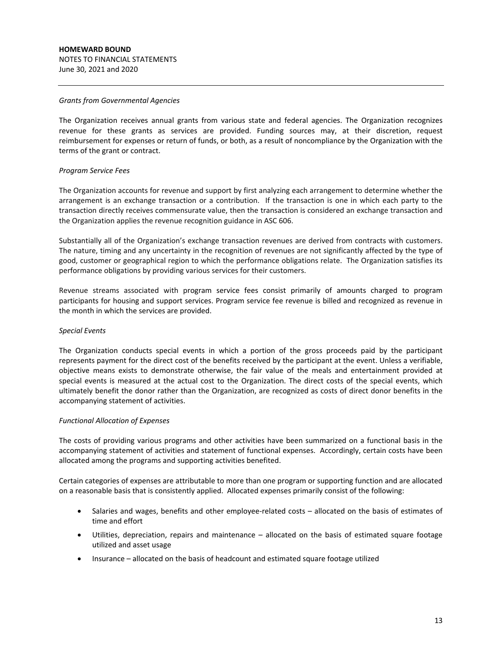#### *Grants from Governmental Agencies*

The Organization receives annual grants from various state and federal agencies. The Organization recognizes revenue for these grants as services are provided. Funding sources may, at their discretion, request reimbursement for expenses or return of funds, or both, as a result of noncompliance by the Organization with the terms of the grant or contract.

## *Program Service Fees*

The Organization accounts for revenue and support by first analyzing each arrangement to determine whether the arrangement is an exchange transaction or a contribution. If the transaction is one in which each party to the transaction directly receives commensurate value, then the transaction is considered an exchange transaction and the Organization applies the revenue recognition guidance in ASC 606.

Substantially all of the Organization's exchange transaction revenues are derived from contracts with customers. The nature, timing and any uncertainty in the recognition of revenues are not significantly affected by the type of good, customer or geographical region to which the performance obligations relate. The Organization satisfies its performance obligations by providing various services for their customers.

Revenue streams associated with program service fees consist primarily of amounts charged to program participants for housing and support services. Program service fee revenue is billed and recognized as revenue in the month in which the services are provided.

#### *Special Events*

The Organization conducts special events in which a portion of the gross proceeds paid by the participant represents payment for the direct cost of the benefits received by the participant at the event. Unless a verifiable, objective means exists to demonstrate otherwise, the fair value of the meals and entertainment provided at special events is measured at the actual cost to the Organization. The direct costs of the special events, which ultimately benefit the donor rather than the Organization, are recognized as costs of direct donor benefits in the accompanying statement of activities.

#### *Functional Allocation of Expenses*

The costs of providing various programs and other activities have been summarized on a functional basis in the accompanying statement of activities and statement of functional expenses. Accordingly, certain costs have been allocated among the programs and supporting activities benefited.

Certain categories of expenses are attributable to more than one program or supporting function and are allocated on a reasonable basis that is consistently applied. Allocated expenses primarily consist of the following:

- Salaries and wages, benefits and other employee-related costs allocated on the basis of estimates of time and effort
- Utilities, depreciation, repairs and maintenance allocated on the basis of estimated square footage utilized and asset usage
- Insurance allocated on the basis of headcount and estimated square footage utilized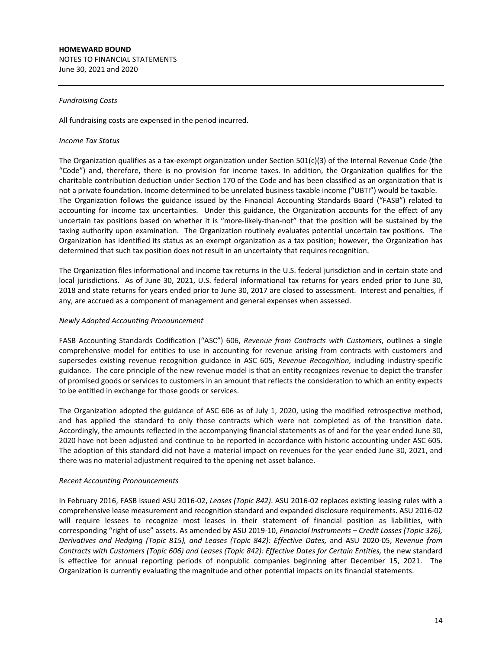NOTES TO FINANCIAL STATEMENTS June 30, 2021 and 2020

## *Fundraising Costs*

All fundraising costs are expensed in the period incurred.

## *Income Tax Status*

The Organization qualifies as a tax-exempt organization under Section  $501(c)(3)$  of the Internal Revenue Code (the "Code") and, therefore, there is no provision for income taxes. In addition, the Organization qualifies for the charitable contribution deduction under Section 170 of the Code and has been classified as an organization that is not a private foundation. Income determined to be unrelated business taxable income ("UBTI") would be taxable. The Organization follows the guidance issued by the Financial Accounting Standards Board ("FASB") related to accounting for income tax uncertainties. Under this guidance, the Organization accounts for the effect of any uncertain tax positions based on whether it is "more-likely-than-not" that the position will be sustained by the taxing authority upon examination. The Organization routinely evaluates potential uncertain tax positions. The Organization has identified its status as an exempt organization as a tax position; however, the Organization has determined that such tax position does not result in an uncertainty that requires recognition.

The Organization files informational and income tax returns in the U.S. federal jurisdiction and in certain state and local jurisdictions. As of June 30, 2021, U.S. federal informational tax returns for years ended prior to June 30, 2018 and state returns for years ended prior to June 30, 2017 are closed to assessment. Interest and penalties, if any, are accrued as a component of management and general expenses when assessed.

## *Newly Adopted Accounting Pronouncement*

FASB Accounting Standards Codification ("ASC") 606, *Revenue from Contracts with Customers*, outlines a single comprehensive model for entities to use in accounting for revenue arising from contracts with customers and supersedes existing revenue recognition guidance in ASC 605, *Revenue Recognition*, including industry‐specific guidance. The core principle of the new revenue model is that an entity recognizes revenue to depict the transfer of promised goods or services to customers in an amount that reflects the consideration to which an entity expects to be entitled in exchange for those goods or services.

The Organization adopted the guidance of ASC 606 as of July 1, 2020, using the modified retrospective method, and has applied the standard to only those contracts which were not completed as of the transition date. Accordingly, the amounts reflected in the accompanying financial statements as of and for the year ended June 30, 2020 have not been adjusted and continue to be reported in accordance with historic accounting under ASC 605. The adoption of this standard did not have a material impact on revenues for the year ended June 30, 2021, and there was no material adjustment required to the opening net asset balance.

#### *Recent Accounting Pronouncements*

In February 2016, FASB issued ASU 2016‐02, *Leases (Topic 842)*. ASU 2016‐02 replaces existing leasing rules with a comprehensive lease measurement and recognition standard and expanded disclosure requirements. ASU 2016‐02 will require lessees to recognize most leases in their statement of financial position as liabilities, with corresponding "right of use" assets. As amended by ASU 2019‐10, *Financial Instruments – Credit Losses (Topic 326), Derivatives and Hedging (Topic 815), and Leases (Topic 842): Effective Dates,* and ASU 2020‐05, *Revenue from Contracts with Customers (Topic 606) and Leases (Topic 842): Effective Dates for Certain Entities,* the new standard is effective for annual reporting periods of nonpublic companies beginning after December 15, 2021. The Organization is currently evaluating the magnitude and other potential impacts on its financial statements.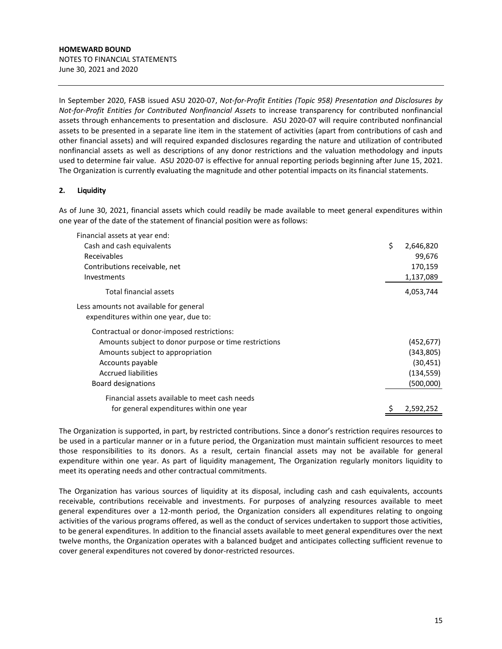In September 2020, FASB issued ASU 2020‐07, *Not‐for‐Profit Entities (Topic 958) Presentation and Disclosures by Not‐for‐Profit Entities for Contributed Nonfinancial Assets* to increase transparency for contributed nonfinancial assets through enhancements to presentation and disclosure. ASU 2020‐07 will require contributed nonfinancial assets to be presented in a separate line item in the statement of activities (apart from contributions of cash and other financial assets) and will required expanded disclosures regarding the nature and utilization of contributed nonfinancial assets as well as descriptions of any donor restrictions and the valuation methodology and inputs used to determine fair value. ASU 2020‐07 is effective for annual reporting periods beginning after June 15, 2021. The Organization is currently evaluating the magnitude and other potential impacts on its financial statements.

# **2. Liquidity**

As of June 30, 2021, financial assets which could readily be made available to meet general expenditures within one year of the date of the statement of financial position were as follows:

| Financial assets at year end:                         |                 |
|-------------------------------------------------------|-----------------|
| Cash and cash equivalents                             | \$<br>2,646,820 |
| Receivables                                           | 99,676          |
| Contributions receivable, net                         | 170,159         |
| <b>Investments</b>                                    | 1,137,089       |
| Total financial assets                                | 4,053,744       |
| Less amounts not available for general                |                 |
| expenditures within one year, due to:                 |                 |
| Contractual or donor-imposed restrictions:            |                 |
| Amounts subject to donor purpose or time restrictions | (452, 677)      |
| Amounts subject to appropriation                      | (343,805)       |
| Accounts payable                                      | (30, 451)       |
| <b>Accrued liabilities</b>                            | (134, 559)      |
| Board designations                                    | (500,000)       |
| Financial assets available to meet cash needs         |                 |
| for general expenditures within one year              | 2,592,252       |

The Organization is supported, in part, by restricted contributions. Since a donor's restriction requires resources to be used in a particular manner or in a future period, the Organization must maintain sufficient resources to meet those responsibilities to its donors. As a result, certain financial assets may not be available for general expenditure within one year. As part of liquidity management, The Organization regularly monitors liquidity to meet its operating needs and other contractual commitments.

The Organization has various sources of liquidity at its disposal, including cash and cash equivalents, accounts receivable, contributions receivable and investments. For purposes of analyzing resources available to meet general expenditures over a 12‐month period, the Organization considers all expenditures relating to ongoing activities of the various programs offered, as well as the conduct of services undertaken to support those activities, to be general expenditures. In addition to the financial assets available to meet general expenditures over the next twelve months, the Organization operates with a balanced budget and anticipates collecting sufficient revenue to cover general expenditures not covered by donor‐restricted resources.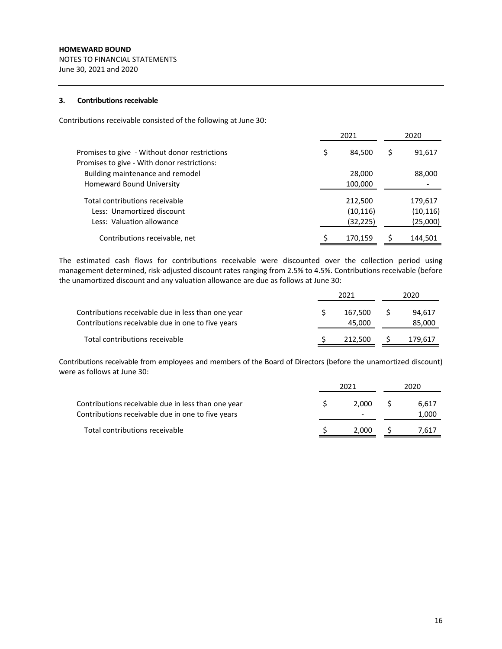NOTES TO FINANCIAL STATEMENTS June 30, 2021 and 2020

## **3.** Contributions receivable

Contributions receivable consisted of the following at June 30:

|                                               | 2021 |           |   | 2020      |
|-----------------------------------------------|------|-----------|---|-----------|
| Promises to give - Without donor restrictions | \$.  | 84,500    | Ş | 91,617    |
| Promises to give - With donor restrictions:   |      |           |   |           |
| Building maintenance and remodel              |      | 28,000    |   | 88,000    |
| Homeward Bound University                     |      | 100,000   |   |           |
|                                               |      |           |   |           |
| Total contributions receivable                |      | 212,500   |   | 179,617   |
| Less: Unamortized discount                    |      | (10, 116) |   | (10, 116) |
| Less: Valuation allowance                     |      | (32, 225) |   | (25,000)  |
| Contributions receivable, net                 |      | 170,159   |   | 144,501   |

The estimated cash flows for contributions receivable were discounted over the collection period using management determined, risk‐adjusted discount rates ranging from 2.5% to 4.5%. Contributions receivable (before the unamortized discount and any valuation allowance are due as follows at June 30:

|                                                                                                         |  | 2020              |                  |
|---------------------------------------------------------------------------------------------------------|--|-------------------|------------------|
| Contributions receivable due in less than one year<br>Contributions receivable due in one to five years |  | 167.500<br>45,000 | 94.617<br>85,000 |
| Total contributions receivable                                                                          |  | 212.500           | 179,617          |

Contributions receivable from employees and members of the Board of Directors (before the unamortized discount) were as follows at June 30:

|                                                                                                         | 2021 |       |  | 2020           |
|---------------------------------------------------------------------------------------------------------|------|-------|--|----------------|
| Contributions receivable due in less than one year<br>Contributions receivable due in one to five years |      | 2.000 |  | 6.617<br>1,000 |
| Total contributions receivable                                                                          |      | 2.000 |  | 7.617          |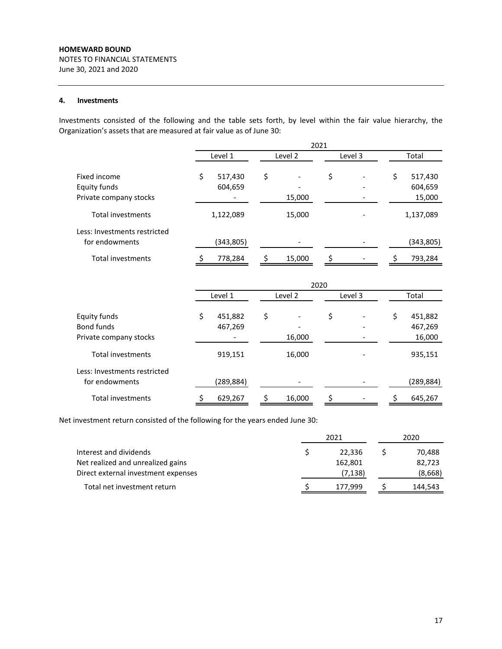NOTES TO FINANCIAL STATEMENTS June 30, 2021 and 2020

# **4. Investments**

Investments consisted of the following and the table sets forth, by level within the fair value hierarchy, the Organization's assets that are measured at fair value as of June 30:

|                              | 2021    |            |    |         |    |         |    |            |
|------------------------------|---------|------------|----|---------|----|---------|----|------------|
|                              | Level 1 |            |    | Level 2 |    | Level 3 |    | Total      |
| Fixed income                 | \$      | 517,430    | \$ |         | \$ |         | \$ | 517,430    |
| Equity funds                 |         | 604,659    |    |         |    |         |    | 604,659    |
| Private company stocks       |         |            |    | 15,000  |    |         |    | 15,000     |
| <b>Total investments</b>     |         | 1,122,089  |    | 15,000  |    |         |    | 1,137,089  |
| Less: Investments restricted |         |            |    |         |    |         |    |            |
| for endowments               |         | (343, 805) |    |         |    |         |    | (343, 805) |
| <b>Total investments</b>     |         | 778,284    |    | 15,000  |    |         |    | 793,284    |

|                                                | 2020 |                          |    |         |    |         |    |            |  |
|------------------------------------------------|------|--------------------------|----|---------|----|---------|----|------------|--|
|                                                |      | Level 1                  |    | Level 2 |    | Level 3 |    | Total      |  |
| Equity funds                                   | \$   | 451,882                  | \$ |         | \$ |         | \$ | 451,882    |  |
| Bond funds                                     |      | 467,269                  |    |         |    |         |    | 467,269    |  |
| Private company stocks                         |      | $\overline{\phantom{a}}$ |    | 16,000  |    |         |    | 16,000     |  |
| Total investments                              |      | 919,151                  |    | 16,000  |    |         |    | 935,151    |  |
| Less: Investments restricted<br>for endowments |      | (289, 884)               |    |         |    |         |    | (289, 884) |  |
|                                                |      |                          |    |         |    |         |    |            |  |
| Total investments                              |      | 629,267                  |    | 16,000  | \$ |         |    | 645,267    |  |

Net investment return consisted of the following for the years ended June 30:

|                                     | 2021     | 2020 |         |  |
|-------------------------------------|----------|------|---------|--|
| Interest and dividends              | 22.336   |      | 70,488  |  |
| Net realized and unrealized gains   | 162,801  |      | 82,723  |  |
| Direct external investment expenses | (7, 138) |      | (8,668) |  |
| Total net investment return         | 177,999  |      | 144,543 |  |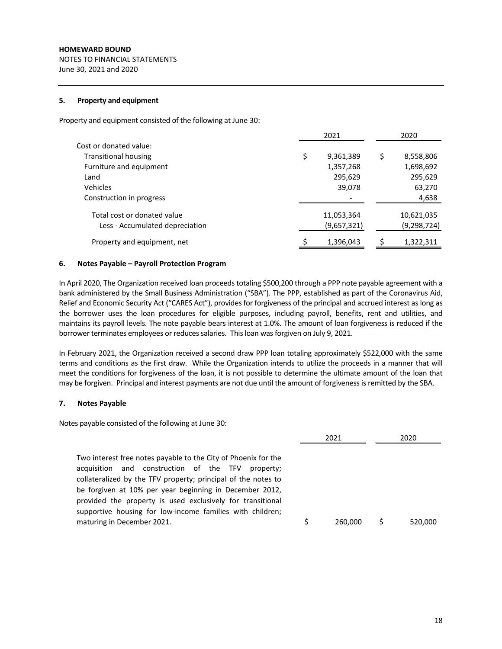NOTES TO FINANCIAL STATEMENTS June 30, 2021 and 2020

## **5. Property and equipment**

Property and equipment consisted of the following at June 30:

|                                 | 2021            | 2020            |
|---------------------------------|-----------------|-----------------|
| Cost or donated value:          |                 |                 |
| <b>Transitional housing</b>     | \$<br>9,361,389 | \$<br>8,558,806 |
| Furniture and equipment         | 1,357,268       | 1,698,692       |
| Land                            | 295,629         | 295,629         |
| Vehicles                        | 39,078          | 63,270          |
| Construction in progress        |                 | 4,638           |
| Total cost or donated value     | 11,053,364      | 10,621,035      |
| Less - Accumulated depreciation | (9,657,321)     | (9, 298, 724)   |
| Property and equipment, net     | 1,396,043       | 1,322,311       |
|                                 |                 |                 |

## **6. Notes Payable – Payroll Protection Program**

In April 2020, The Organization received loan proceeds totaling \$500,200 through a PPP note payable agreement with a bank administered by the Small Business Administration ("SBA"). The PPP, established as part of the Coronavirus Aid, Relief and Economic Security Act ("CARES Act"), provides for forgiveness of the principal and accrued interest as long as the borrower uses the loan procedures for eligible purposes, including payroll, benefits, rent and utilities, and maintains its payroll levels. The note payable bears interest at 1.0%. The amount of loan forgiveness is reduced if the borrower terminates employees or reduces salaries. This loan was forgiven on July 9, 2021.

In February 2021, the Organization received a second draw PPP loan totaling approximately \$522,000 with the same terms and conditions as the first draw. While the Organization intends to utilize the proceeds in a manner that will meet the conditions for forgiveness of the loan, it is not possible to determine the ultimate amount of the loan that may be forgiven. Principal and interest payments are not due until the amount of forgiveness is remitted by the SBA.

#### **7. Notes Payable**

Notes payable consisted of the following at June 30:

| Two interest free notes payable to the City of Phoenix for the                                                                                                                                                                                                                                                                                       | 2020    |
|------------------------------------------------------------------------------------------------------------------------------------------------------------------------------------------------------------------------------------------------------------------------------------------------------------------------------------------------------|---------|
| acquisition and construction of the TFV<br>property;<br>collateralized by the TFV property; principal of the notes to<br>be forgiven at 10% per year beginning in December 2012,<br>provided the property is used exclusively for transitional<br>supportive housing for low-income families with children;<br>maturing in December 2021.<br>260,000 | 520,000 |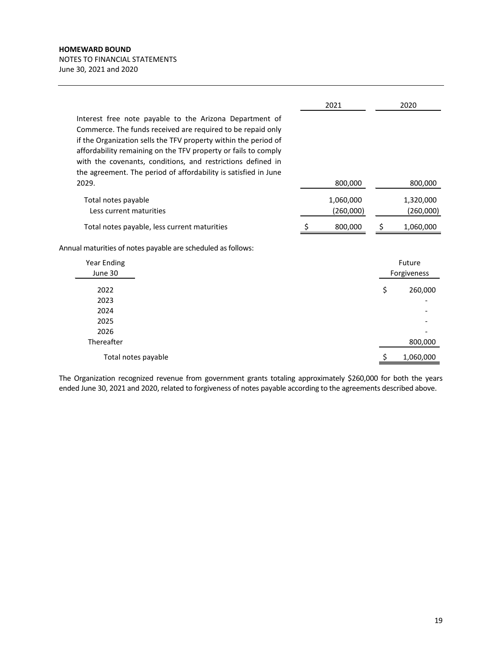# **HOMEWARD BOUND** NOTES TO FINANCIAL STATEMENTS June 30, 2021 and 2020

|                                                                                                                                                                                                                                                                                                                                                                                               | 2021                   |    | 2020                   |
|-----------------------------------------------------------------------------------------------------------------------------------------------------------------------------------------------------------------------------------------------------------------------------------------------------------------------------------------------------------------------------------------------|------------------------|----|------------------------|
| Interest free note payable to the Arizona Department of<br>Commerce. The funds received are required to be repaid only<br>if the Organization sells the TFV property within the period of<br>affordability remaining on the TFV property or fails to comply<br>with the covenants, conditions, and restrictions defined in<br>the agreement. The period of affordability is satisfied in June |                        |    |                        |
| 2029.                                                                                                                                                                                                                                                                                                                                                                                         | 800,000                |    | 800,000                |
| Total notes payable<br>Less current maturities                                                                                                                                                                                                                                                                                                                                                | 1,060,000<br>(260,000) |    | 1,320,000<br>(260,000) |
| Total notes payable, less current maturities                                                                                                                                                                                                                                                                                                                                                  | 800,000                | S  | 1,060,000              |
| Annual maturities of notes payable are scheduled as follows:                                                                                                                                                                                                                                                                                                                                  |                        |    |                        |
| Year Ending<br>June 30                                                                                                                                                                                                                                                                                                                                                                        |                        |    | Future<br>Forgiveness  |
| 2022                                                                                                                                                                                                                                                                                                                                                                                          |                        | \$ | 260,000                |
| 2023                                                                                                                                                                                                                                                                                                                                                                                          |                        |    |                        |
| 2024                                                                                                                                                                                                                                                                                                                                                                                          |                        |    |                        |
| 2025                                                                                                                                                                                                                                                                                                                                                                                          |                        |    |                        |

Total notes payable  $\frac{1}{5}$  1,060,000 Thereafter 2026

The Organization recognized revenue from government grants totaling approximately \$260,000 for both the years ended June 30, 2021 and 2020, related to forgiveness of notes payable according to the agreements described above.

en andere a

800,000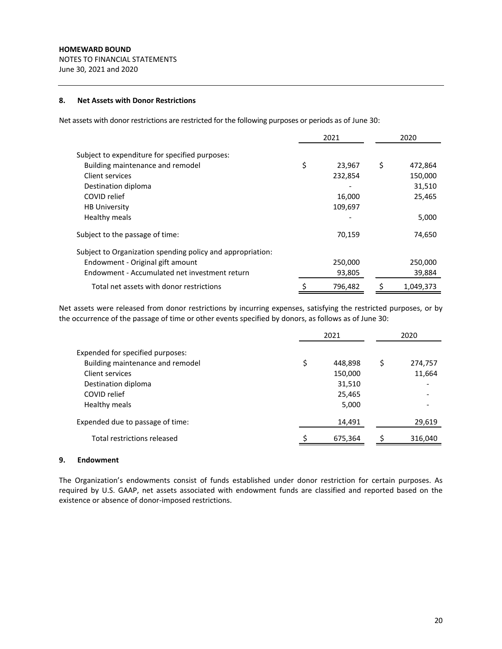# **8. Net Assets with Donor Restrictions**

Net assets with donor restrictions are restricted for the following purposes or periods as of June 30:

|                                                            | 2021 |         |    | 2020      |
|------------------------------------------------------------|------|---------|----|-----------|
| Subject to expenditure for specified purposes:             |      |         |    |           |
| Building maintenance and remodel                           | \$   | 23,967  | \$ | 472,864   |
| Client services                                            |      | 232,854 |    | 150,000   |
| Destination diploma                                        |      |         |    | 31,510    |
| COVID relief                                               |      | 16,000  |    | 25,465    |
| <b>HB University</b>                                       |      | 109,697 |    |           |
| Healthy meals                                              |      |         |    | 5,000     |
| Subject to the passage of time:                            |      | 70,159  |    | 74,650    |
| Subject to Organization spending policy and appropriation: |      |         |    |           |
| Endowment - Original gift amount                           |      | 250,000 |    | 250,000   |
| Endowment - Accumulated net investment return              |      | 93,805  |    | 39,884    |
| Total net assets with donor restrictions                   |      | 796,482 | s  | 1,049,373 |

Net assets were released from donor restrictions by incurring expenses, satisfying the restricted purposes, or by the occurrence of the passage of time or other events specified by donors, as follows as of June 30:

|                                  | 2021          | 2020          |  |  |
|----------------------------------|---------------|---------------|--|--|
| Expended for specified purposes: |               |               |  |  |
| Building maintenance and remodel | \$<br>448,898 | \$<br>274,757 |  |  |
| Client services                  | 150,000       | 11,664        |  |  |
| Destination diploma              | 31,510        |               |  |  |
| COVID relief                     | 25,465        |               |  |  |
| Healthy meals                    | 5,000         |               |  |  |
| Expended due to passage of time: | 14,491        | 29,619        |  |  |
| Total restrictions released      | 675,364       | 316,040       |  |  |

## **9. Endowment**

The Organization's endowments consist of funds established under donor restriction for certain purposes. As required by U.S. GAAP, net assets associated with endowment funds are classified and reported based on the existence or absence of donor‐imposed restrictions.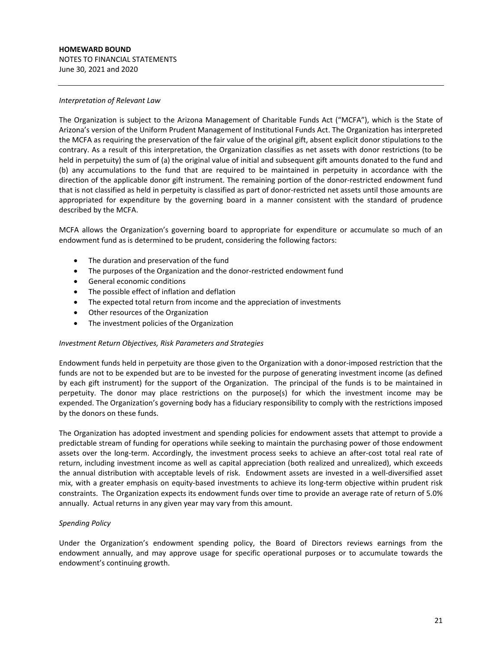#### **HOMEWARD BOUND** NOTES TO FINANCIAL STATEMENTS

June 30, 2021 and 2020

#### *Interpretation of Relevant Law*

The Organization is subject to the Arizona Management of Charitable Funds Act ("MCFA"), which is the State of Arizona's version of the Uniform Prudent Management of Institutional Funds Act. The Organization has interpreted the MCFA as requiring the preservation of the fair value of the original gift, absent explicit donor stipulations to the contrary. As a result of this interpretation, the Organization classifies as net assets with donor restrictions (to be held in perpetuity) the sum of (a) the original value of initial and subsequent gift amounts donated to the fund and (b) any accumulations to the fund that are required to be maintained in perpetuity in accordance with the direction of the applicable donor gift instrument. The remaining portion of the donor-restricted endowment fund that is not classified as held in perpetuity is classified as part of donor-restricted net assets until those amounts are appropriated for expenditure by the governing board in a manner consistent with the standard of prudence described by the MCFA.

MCFA allows the Organization's governing board to appropriate for expenditure or accumulate so much of an endowment fund as is determined to be prudent, considering the following factors:

- The duration and preservation of the fund
- The purposes of the Organization and the donor-restricted endowment fund
- General economic conditions
- The possible effect of inflation and deflation
- The expected total return from income and the appreciation of investments
- Other resources of the Organization
- The investment policies of the Organization

# *Investment Return Objectives, Risk Parameters and Strategies*

Endowment funds held in perpetuity are those given to the Organization with a donor‐imposed restriction that the funds are not to be expended but are to be invested for the purpose of generating investment income (as defined by each gift instrument) for the support of the Organization. The principal of the funds is to be maintained in perpetuity. The donor may place restrictions on the purpose(s) for which the investment income may be expended. The Organization's governing body has a fiduciary responsibility to comply with the restrictions imposed by the donors on these funds.

The Organization has adopted investment and spending policies for endowment assets that attempt to provide a predictable stream of funding for operations while seeking to maintain the purchasing power of those endowment assets over the long-term. Accordingly, the investment process seeks to achieve an after-cost total real rate of return, including investment income as well as capital appreciation (both realized and unrealized), which exceeds the annual distribution with acceptable levels of risk. Endowment assets are invested in a well‐diversified asset mix, with a greater emphasis on equity‐based investments to achieve its long‐term objective within prudent risk constraints. The Organization expects its endowment funds over time to provide an average rate of return of 5.0% annually. Actual returns in any given year may vary from this amount.

# *Spending Policy*

Under the Organization's endowment spending policy, the Board of Directors reviews earnings from the endowment annually, and may approve usage for specific operational purposes or to accumulate towards the endowment's continuing growth.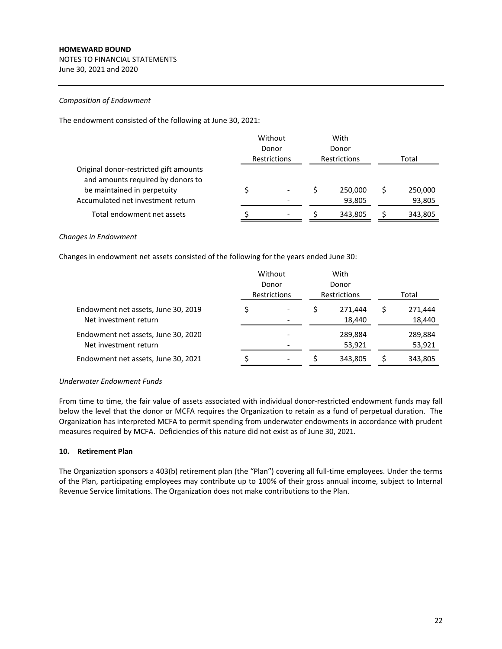NOTES TO FINANCIAL STATEMENTS June 30, 2021 and 2020

## *Composition of Endowment*

The endowment consisted of the following at June 30, 2021:

|                                                                                                            | Without<br>Donor<br>Restrictions |  | With<br>Donor<br><b>Restrictions</b> |         | Total |         |
|------------------------------------------------------------------------------------------------------------|----------------------------------|--|--------------------------------------|---------|-------|---------|
| Original donor-restricted gift amounts<br>and amounts required by donors to<br>be maintained in perpetuity |                                  |  |                                      | 250,000 |       | 250,000 |
| Accumulated net investment return                                                                          |                                  |  |                                      | 93,805  |       | 93,805  |
| Total endowment net assets                                                                                 |                                  |  |                                      | 343,805 |       | 343,805 |

## *Changes in Endowment*

Changes in endowment net assets consisted of the following for the years ended June 30:

|                                                              | Without<br>Donor<br><b>Restrictions</b> |  |  | With<br>Donor<br><b>Restrictions</b> | Total |                   |  |
|--------------------------------------------------------------|-----------------------------------------|--|--|--------------------------------------|-------|-------------------|--|
| Endowment net assets, June 30, 2019<br>Net investment return |                                         |  |  | 271.444<br>18,440                    |       | 271,444<br>18,440 |  |
| Endowment net assets, June 30, 2020<br>Net investment return |                                         |  |  | 289,884<br>53,921                    |       | 289,884<br>53,921 |  |
| Endowment net assets, June 30, 2021                          |                                         |  |  | 343,805                              |       | 343,805           |  |

# *Underwater Endowment Funds*

From time to time, the fair value of assets associated with individual donor-restricted endowment funds may fall below the level that the donor or MCFA requires the Organization to retain as a fund of perpetual duration. The Organization has interpreted MCFA to permit spending from underwater endowments in accordance with prudent measures required by MCFA. Deficiencies of this nature did not exist as of June 30, 2021.

# **10. Retirement Plan**

The Organization sponsors a 403(b) retirement plan (the "Plan") covering all full-time employees. Under the terms of the Plan, participating employees may contribute up to 100% of their gross annual income, subject to Internal Revenue Service limitations. The Organization does not make contributions to the Plan.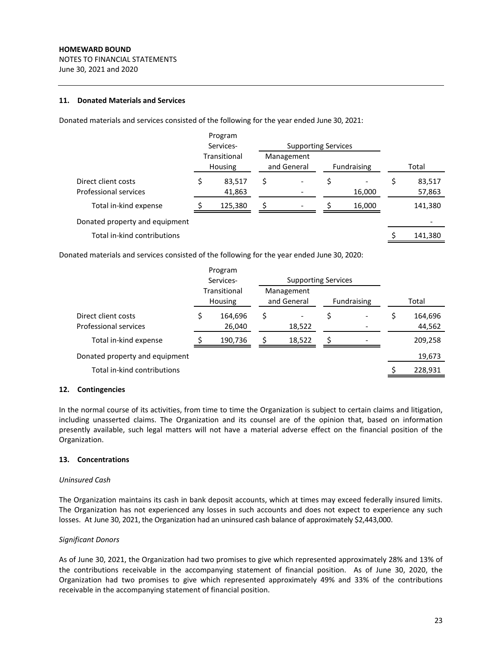NOTES TO FINANCIAL STATEMENTS June 30, 2021 and 2020

## **11. Donated Materials and Services**

Donated materials and services consisted of the following for the year ended June 30, 2021:

|                                | Program                 |                           |                            |             |        |         |
|--------------------------------|-------------------------|---------------------------|----------------------------|-------------|--------|---------|
|                                | Services-               |                           | <b>Supporting Services</b> |             |        |         |
|                                | Transitional<br>Housing | Management<br>and General |                            | Fundraising |        | Total   |
| Direct client costs            | 83,517                  | \$                        |                            | \$          |        | 83,517  |
| Professional services          | 41,863                  |                           |                            |             | 16,000 | 57,863  |
| Total in-kind expense          | 125,380                 |                           |                            |             | 16,000 | 141,380 |
| Donated property and equipment |                         |                           |                            |             |        |         |
| Total in-kind contributions    |                         |                           |                            |             |        | 141,380 |

Donated materials and services consisted of the following for the year ended June 30, 2020:

|                                              | Program<br>Services- |                         | <b>Supporting Services</b> |        |                    |  |                   |
|----------------------------------------------|----------------------|-------------------------|----------------------------|--------|--------------------|--|-------------------|
|                                              |                      | Transitional<br>Housing | Management<br>and General  |        | <b>Fundraising</b> |  | Total             |
| Direct client costs<br>Professional services |                      | 164,696<br>26,040       | \$                         | 18,522 |                    |  | 164,696<br>44,562 |
| Total in-kind expense                        |                      | 190,736                 |                            | 18,522 |                    |  | 209,258           |
| Donated property and equipment               |                      |                         |                            |        |                    |  | 19,673            |
| Total in-kind contributions                  |                      |                         |                            |        |                    |  | 228,931           |

# **12. Contingencies**

In the normal course of its activities, from time to time the Organization is subject to certain claims and litigation, including unasserted claims. The Organization and its counsel are of the opinion that, based on information presently available, such legal matters will not have a material adverse effect on the financial position of the Organization.

# **13. Concentrations**

#### *Uninsured Cash*

The Organization maintains its cash in bank deposit accounts, which at times may exceed federally insured limits. The Organization has not experienced any losses in such accounts and does not expect to experience any such losses. At June 30, 2021, the Organization had an uninsured cash balance of approximately \$2,443,000.

# *Significant Donors*

As of June 30, 2021, the Organization had two promises to give which represented approximately 28% and 13% of the contributions receivable in the accompanying statement of financial position. As of June 30, 2020, the Organization had two promises to give which represented approximately 49% and 33% of the contributions receivable in the accompanying statement of financial position.